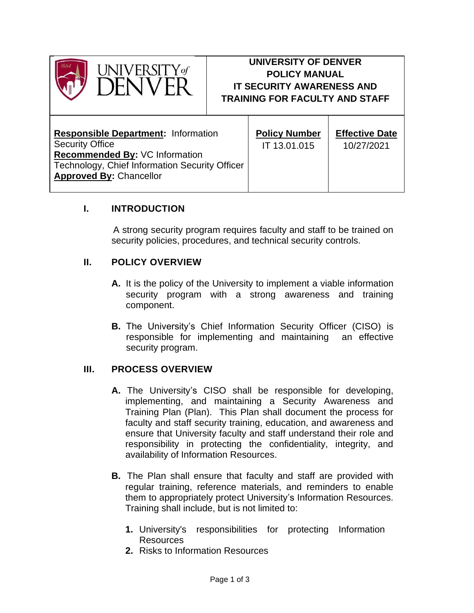

# **UNIVERSITY OF DENVER POLICY MANUAL IT SECURITY AWARENESS AND TRAINING FOR FACULTY AND STAFF**

| <b>Responsible Department: Information</b>     | <b>Policy Number</b> | <b>Effective Date</b> |
|------------------------------------------------|----------------------|-----------------------|
| <b>Security Office</b>                         | IT 13.01.015         | 10/27/2021            |
| Recommended By: VC Information                 |                      |                       |
| Technology, Chief Information Security Officer |                      |                       |
| <b>Approved By: Chancellor</b>                 |                      |                       |
|                                                |                      |                       |

## **I. INTRODUCTION**

A strong security program requires faculty and staff to be trained on security policies, procedures, and technical security controls.

### **II. POLICY OVERVIEW**

- **A.** It is the policy of the University to implement a viable information security program with a strong awareness and training component.
- **B.** The University's Chief Information Security Officer (CISO) is responsible for implementing and maintaining an effective security program.

### **III. PROCESS OVERVIEW**

- **A.** The University's CISO shall be responsible for developing, implementing, and maintaining a Security Awareness and Training Plan (Plan). This Plan shall document the process for faculty and staff security training, education, and awareness and ensure that University faculty and staff understand their role and responsibility in protecting the confidentiality, integrity, and availability of Information Resources.
- **B.** The Plan shall ensure that faculty and staff are provided with regular training, reference materials, and reminders to enable them to appropriately protect University's Information Resources. Training shall include, but is not limited to:
	- **1.** University's responsibilities for protecting Information Resources
	- **2.** Risks to Information Resources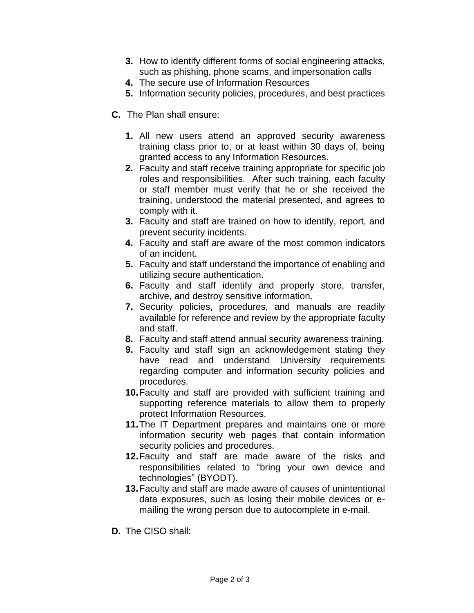- **3.** How to identify different forms of social engineering attacks, such as phishing, phone scams, and impersonation calls
- **4.** The secure use of Information Resources
- **5.** Information security policies, procedures, and best practices
- **C.** The Plan shall ensure:
	- **1.** All new users attend an approved security awareness training class prior to, or at least within 30 days of, being granted access to any Information Resources.
	- **2.** Faculty and staff receive training appropriate for specific job roles and responsibilities. After such training, each faculty or staff member must verify that he or she received the training, understood the material presented, and agrees to comply with it.
	- **3.** Faculty and staff are trained on how to identify, report, and prevent security incidents.
	- **4.** Faculty and staff are aware of the most common indicators of an incident.
	- **5.** Faculty and staff understand the importance of enabling and utilizing secure authentication.
	- **6.** Faculty and staff identify and properly store, transfer, archive, and destroy sensitive information.
	- **7.** Security policies, procedures, and manuals are readily available for reference and review by the appropriate faculty and staff.
	- **8.** Faculty and staff attend annual security awareness training.
	- **9.** Faculty and staff sign an acknowledgement stating they have read and understand University requirements regarding computer and information security policies and procedures.
	- **10.**Faculty and staff are provided with sufficient training and supporting reference materials to allow them to properly protect Information Resources.
	- **11.**The IT Department prepares and maintains one or more information security web pages that contain information security policies and procedures.
	- **12.**Faculty and staff are made aware of the risks and responsibilities related to "bring your own device and technologies" (BYODT).
	- **13.**Faculty and staff are made aware of causes of unintentional data exposures, such as losing their mobile devices or emailing the wrong person due to autocomplete in e-mail.
- **D.** The CISO shall: